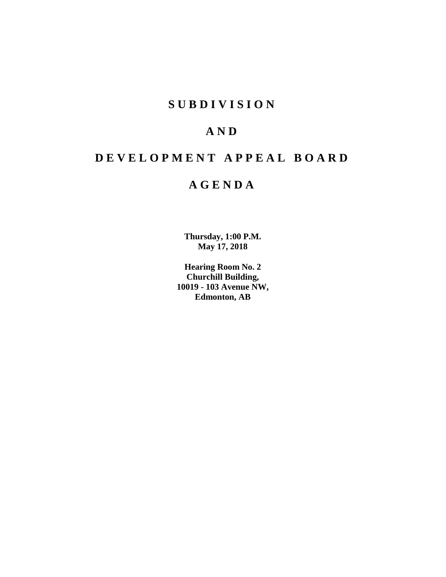# **SUBDIVISION**

# **AND**

# **DEVELOPMENT APPEAL BOARD**

# **AGENDA**

**Thursday, 1:00 P.M. May 17, 2018**

**Hearing Room No. 2 Churchill Building, 10019 - 103 Avenue NW, Edmonton, AB**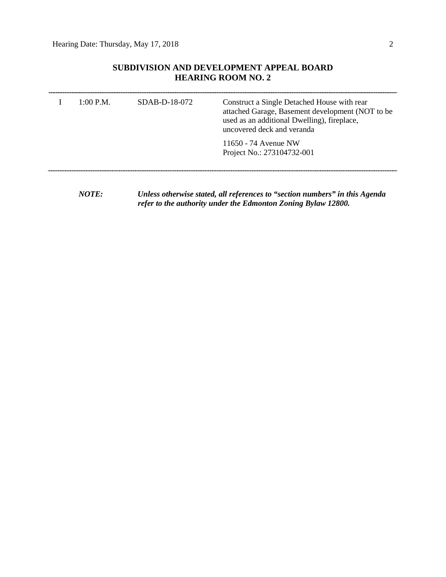# **SUBDIVISION AND DEVELOPMENT APPEAL BOARD HEARING ROOM NO. 2**

| 1:00 P.M. | SDAB-D-18-072 | Construct a Single Detached House with rear<br>attached Garage, Basement development (NOT to be<br>used as an additional Dwelling), fireplace,<br>uncovered deck and veranda |
|-----------|---------------|------------------------------------------------------------------------------------------------------------------------------------------------------------------------------|
|           |               | 11650 - 74 Avenue NW<br>Project No.: 273104732-001                                                                                                                           |
|           |               |                                                                                                                                                                              |

*NOTE: Unless otherwise stated, all references to "section numbers" in this Agenda refer to the authority under the Edmonton Zoning Bylaw 12800.*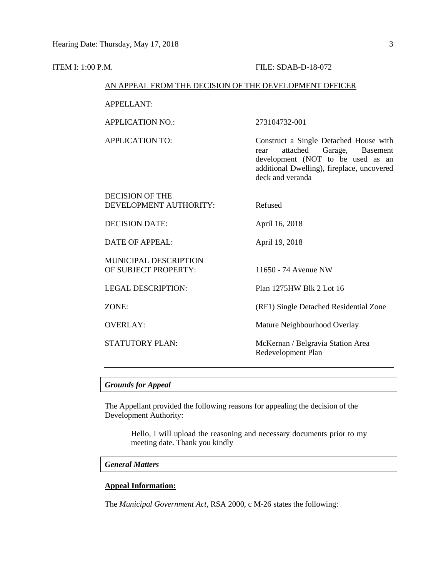#### **ITEM I: 1:00 P.M. FILE: SDAB-D-18-072**

#### AN APPEAL FROM THE DECISION OF THE DEVELOPMENT OFFICER

APPELLANT:

APPLICATION NO.: 273104732-001

APPLICATION TO: Construct a Single Detached House with rear attached Garage, Basement development (NOT to be used as an additional Dwelling), fireplace, uncovered deck and veranda

DECISION OF THE DEVELOPMENT AUTHORITY: Refused

DECISION DATE: April 16, 2018

DATE OF APPEAL: April 19, 2018

MUNICIPAL DESCRIPTION OF SUBJECT PROPERTY: 11650 - 74 Avenue NW

LEGAL DESCRIPTION: Plan 1275HW Blk 2 Lot 16

ZONE: (RF1) Single Detached Residential Zone

OVERLAY: Mature Neighbourhood Overlay

STATUTORY PLAN: McKernan / Belgravia Station Area Redevelopment Plan

# *Grounds for Appeal*

The Appellant provided the following reasons for appealing the decision of the Development Authority:

> Hello, I will upload the reasoning and necessary documents prior to my meeting date. Thank you kindly

## *General Matters*

## **Appeal Information:**

The *Municipal Government Act*, RSA 2000, c M-26 states the following: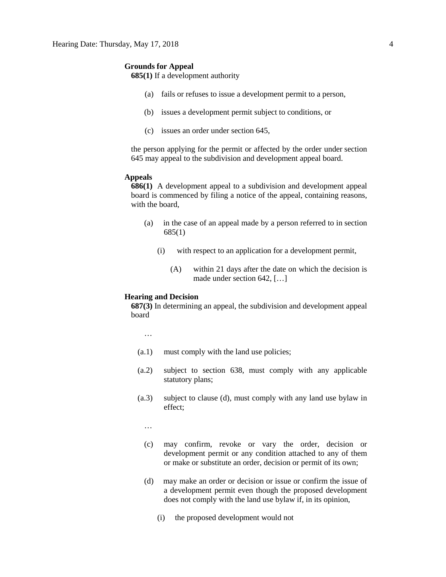#### **Grounds for Appeal**

**685(1)** If a development authority

- (a) fails or refuses to issue a development permit to a person,
- (b) issues a development permit subject to conditions, or
- (c) issues an order under section 645,

the person applying for the permit or affected by the order under section 645 may appeal to the subdivision and development appeal board.

#### **Appeals**

**686(1)** A development appeal to a subdivision and development appeal board is commenced by filing a notice of the appeal, containing reasons, with the board,

- (a) in the case of an appeal made by a person referred to in section 685(1)
	- (i) with respect to an application for a development permit,
		- (A) within 21 days after the date on which the decision is made under section 642, […]

# **Hearing and Decision**

**687(3)** In determining an appeal, the subdivision and development appeal board

…

- (a.1) must comply with the land use policies;
- (a.2) subject to section 638, must comply with any applicable statutory plans;
- (a.3) subject to clause (d), must comply with any land use bylaw in effect;

…

- (c) may confirm, revoke or vary the order, decision or development permit or any condition attached to any of them or make or substitute an order, decision or permit of its own;
- (d) may make an order or decision or issue or confirm the issue of a development permit even though the proposed development does not comply with the land use bylaw if, in its opinion,
	- (i) the proposed development would not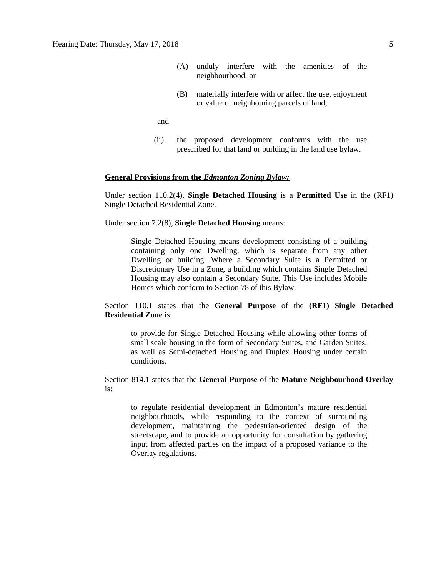- (A) unduly interfere with the amenities of the neighbourhood, or
- (B) materially interfere with or affect the use, enjoyment or value of neighbouring parcels of land,

and

(ii) the proposed development conforms with the use prescribed for that land or building in the land use bylaw.

#### **General Provisions from the** *Edmonton Zoning Bylaw:*

Under section 110.2(4), **Single Detached Housing** is a **Permitted Use** in the (RF1) Single Detached Residential Zone.

Under section 7.2(8), **Single Detached Housing** means:

Single Detached Housing means development consisting of a building containing only one Dwelling, which is separate from any other Dwelling or building. Where a Secondary Suite is a Permitted or Discretionary Use in a Zone, a building which contains Single Detached Housing may also contain a Secondary Suite. This Use includes Mobile Homes which conform to Section 78 of this Bylaw.

## Section 110.1 states that the **General Purpose** of the **(RF1) Single Detached Residential Zone** is:

to provide for Single Detached Housing while allowing other forms of small scale housing in the form of Secondary Suites, and Garden Suites, as well as Semi-detached Housing and Duplex Housing under certain conditions.

Section 814.1 states that the **General Purpose** of the **Mature Neighbourhood Overlay** is:

to regulate residential development in Edmonton's mature residential neighbourhoods, while responding to the context of surrounding development, maintaining the pedestrian-oriented design of the streetscape, and to provide an opportunity for consultation by gathering input from affected parties on the impact of a proposed variance to the Overlay regulations.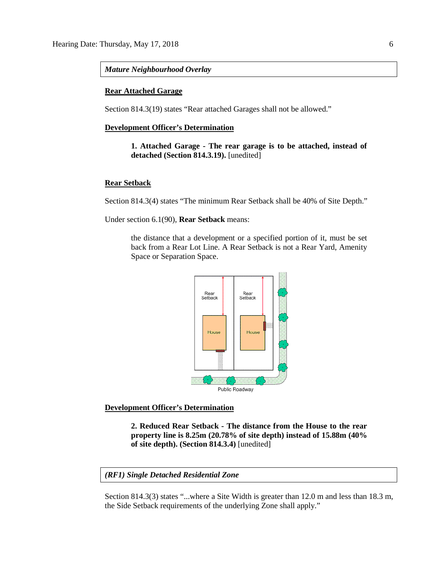#### *Mature Neighbourhood Overlay*

#### **Rear Attached Garage**

Section 814.3(19) states "Rear attached Garages shall not be allowed."

## **Development Officer's Determination**

**1. Attached Garage - The rear garage is to be attached, instead of detached (Section 814.3.19).** [unedited]

#### **Rear Setback**

Section 814.3(4) states "The minimum Rear Setback shall be 40% of Site Depth."

Under section 6.1(90), **Rear Setback** means:

the distance that a development or a specified portion of it, must be set back from a Rear Lot Line. A Rear Setback is not a Rear Yard, Amenity Space or Separation Space.



**Development Officer's Determination**

**2. Reduced Rear Setback - The distance from the House to the rear property line is 8.25m (20.78% of site depth) instead of 15.88m (40% of site depth). (Section 814.3.4)** [unedited]

#### *(RF1) Single Detached Residential Zone*

Section 814.3(3) states "...where a Site Width is greater than 12.0 m and less than 18.3 m, the Side Setback requirements of the underlying Zone shall apply."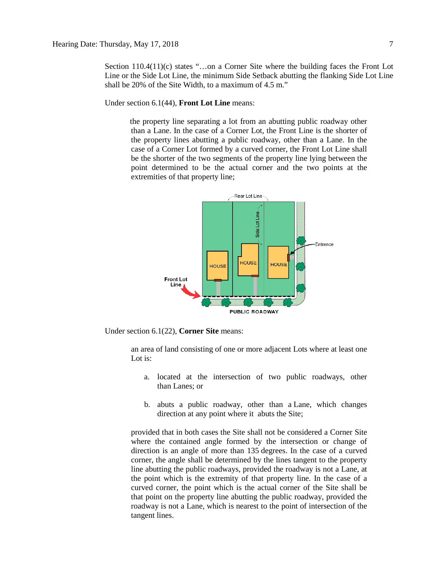Section 110.4(11)(c) states "...on a Corner Site where the building faces the Front Lot Line or the Side Lot Line, the minimum Side Setback abutting the flanking Side Lot Line shall be 20% of the Site Width, to a maximum of 4.5 m."

Under section 6.1(44), **Front Lot Line** means:

the property line separating a lot from an abutting public roadway other than a Lane. In the case of a Corner Lot, the Front Line is the shorter of the property lines abutting a public roadway, other than a Lane. In the case of a Corner Lot formed by a curved corner, the Front Lot Line shall be the shorter of the two segments of the property line lying between the point determined to be the actual corner and the two points at the extremities of that property line;



Under section 6.1(22), **Corner Site** means:

an area of land consisting of one or more adjacent Lots where at least one Lot is:

- a. located at the intersection of two public roadways, other than Lanes; or
- b. abuts a public roadway, other than a Lane, which changes direction at any point where it abuts the Site;

provided that in both cases the Site shall not be considered a Corner Site where the contained angle formed by the intersection or change of direction is an angle of more than 135 degrees. In the case of a curved corner, the angle shall be determined by the lines tangent to the property line abutting the public roadways, provided the roadway is not a Lane, at the point which is the extremity of that property line. In the case of a curved corner, the point which is the actual corner of the Site shall be that point on the property line abutting the public roadway, provided the roadway is not a Lane, which is nearest to the point of intersection of the tangent lines.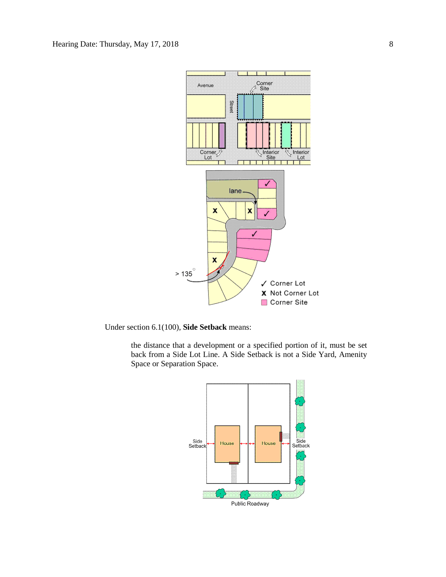

Under section 6.1(100), **Side Setback** means:

the distance that a development or a specified portion of it, must be set back from a Side Lot Line. A Side Setback is not a Side Yard, Amenity Space or Separation Space.

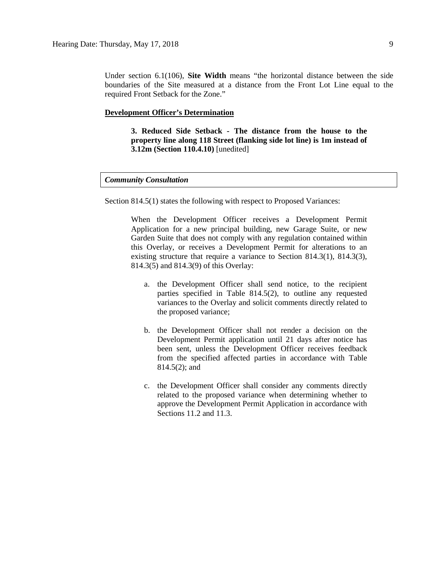Under section 6.1(106), **Site Width** means "the horizontal distance between the side boundaries of the Site measured at a distance from the Front Lot Line equal to the required Front Setback for the Zone."

## **Development Officer's Determination**

**3. Reduced Side Setback - The distance from the house to the property line along 118 Street (flanking side lot line) is 1m instead of 3.12m (Section 110.4.10)** [unedited]

# *Community Consultation*

Section 814.5(1) states the following with respect to Proposed Variances:

When the Development Officer receives a Development Permit Application for a new principal building, new Garage Suite, or new Garden Suite that does not comply with any regulation contained within this Overlay, or receives a Development Permit for alterations to an existing structure that require a variance to Section 814.3(1), 814.3(3), 814.3(5) and 814.3(9) of this Overlay:

- a. the Development Officer shall send notice, to the recipient parties specified in Table 814.5(2), to outline any requested variances to the Overlay and solicit comments directly related to the proposed variance;
- b. the Development Officer shall not render a decision on the Development Permit application until 21 days after notice has been sent, unless the Development Officer receives feedback from the specified affected parties in accordance with Table 814.5(2); and
- c. the Development Officer shall consider any comments directly related to the proposed variance when determining whether to approve the Development Permit Application in accordance with Sections 11.2 and 11.3.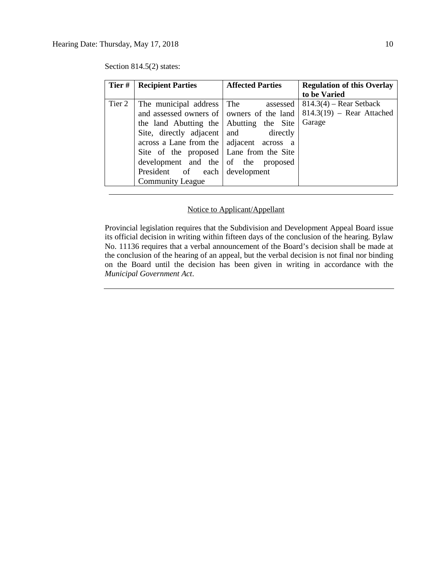|        | <b>Tier #   Recipient Parties</b>                                                                                                                                                                                                                                                                                                     | <b>Affected Parties</b> | <b>Regulation of this Overlay</b><br>to be Varied                  |
|--------|---------------------------------------------------------------------------------------------------------------------------------------------------------------------------------------------------------------------------------------------------------------------------------------------------------------------------------------|-------------------------|--------------------------------------------------------------------|
| Tier 2 | The municipal address The assessed<br>and assessed owners of   owners of the land<br>the land Abutting the Abutting the Site<br>Site, directly adjacent and directly<br>across a Lane from the   adjacent across a<br>Site of the proposed Lane from the Site<br>development and the of the proposed<br>President of each development |                         | $814.3(4)$ – Rear Setback<br>$814.3(19)$ – Rear Attached<br>Garage |
|        | <b>Community League</b>                                                                                                                                                                                                                                                                                                               |                         |                                                                    |

Section 814.5(2) states:

# Notice to Applicant/Appellant

Provincial legislation requires that the Subdivision and Development Appeal Board issue its official decision in writing within fifteen days of the conclusion of the hearing. Bylaw No. 11136 requires that a verbal announcement of the Board's decision shall be made at the conclusion of the hearing of an appeal, but the verbal decision is not final nor binding on the Board until the decision has been given in writing in accordance with the *Municipal Government Act*.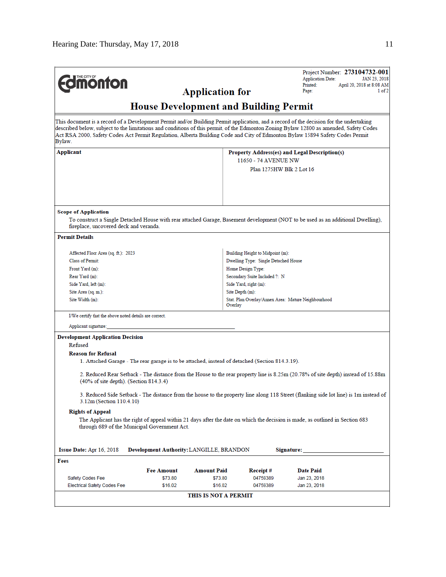| THE CITY OF<br><b>monton</b>                                                                                                                                                                                                                                                   |                                                        |                    | Project Number: 273104732-001<br><b>Application Date:</b><br>JAN 23, 2018<br>Printed:<br>April 20, 2018 at 8:08 AM<br>Page:<br>1 of 2 |                                                                                                                                                                                                                                                                                                                                                                                                                  |  |  |  |  |  |
|--------------------------------------------------------------------------------------------------------------------------------------------------------------------------------------------------------------------------------------------------------------------------------|--------------------------------------------------------|--------------------|---------------------------------------------------------------------------------------------------------------------------------------|------------------------------------------------------------------------------------------------------------------------------------------------------------------------------------------------------------------------------------------------------------------------------------------------------------------------------------------------------------------------------------------------------------------|--|--|--|--|--|
| <b>Application for</b><br><b>House Development and Building Permit</b>                                                                                                                                                                                                         |                                                        |                    |                                                                                                                                       |                                                                                                                                                                                                                                                                                                                                                                                                                  |  |  |  |  |  |
| Bylaw.                                                                                                                                                                                                                                                                         |                                                        |                    |                                                                                                                                       | This document is a record of a Development Permit and/or Building Permit application, and a record of the decision for the undertaking<br>described below, subject to the limitations and conditions of this permit, of the Edmonton Zoning Bylaw 12800 as amended, Safety Codes<br>Act RSA 2000, Safety Codes Act Permit Regulation, Alberta Building Code and City of Edmonton Bylaw 15894 Safety Codes Permit |  |  |  |  |  |
| Applicant                                                                                                                                                                                                                                                                      |                                                        |                    | Property Address(es) and Legal Description(s)<br>11650 - 74 AVENUE NW<br>Plan 1275HW Blk 2 Lot 16                                     |                                                                                                                                                                                                                                                                                                                                                                                                                  |  |  |  |  |  |
| <b>Scope of Application</b><br>fireplace, uncovered deck and veranda.<br><b>Permit Details</b>                                                                                                                                                                                 |                                                        |                    |                                                                                                                                       | To construct a Single Detached House with rear attached Garage, Basement development (NOT to be used as an additional Dwelling),                                                                                                                                                                                                                                                                                 |  |  |  |  |  |
|                                                                                                                                                                                                                                                                                |                                                        |                    |                                                                                                                                       |                                                                                                                                                                                                                                                                                                                                                                                                                  |  |  |  |  |  |
| Affected Floor Area (sq. ft.): 2023                                                                                                                                                                                                                                            |                                                        |                    | Building Height to Midpoint (m):                                                                                                      |                                                                                                                                                                                                                                                                                                                                                                                                                  |  |  |  |  |  |
| <b>Class of Permit:</b>                                                                                                                                                                                                                                                        |                                                        |                    | Dwelling Type: Single Detached House                                                                                                  |                                                                                                                                                                                                                                                                                                                                                                                                                  |  |  |  |  |  |
| Front Yard (m):<br>Rear Yard (m):                                                                                                                                                                                                                                              |                                                        |                    | Home Design Type:                                                                                                                     |                                                                                                                                                                                                                                                                                                                                                                                                                  |  |  |  |  |  |
| Side Yard, left (m):                                                                                                                                                                                                                                                           |                                                        |                    | Secondary Suite Included ?: N                                                                                                         |                                                                                                                                                                                                                                                                                                                                                                                                                  |  |  |  |  |  |
| Site Area (sq. m.):                                                                                                                                                                                                                                                            |                                                        |                    | Side Yard, right (m):<br>Site Depth (m):                                                                                              |                                                                                                                                                                                                                                                                                                                                                                                                                  |  |  |  |  |  |
| Site Width (m):                                                                                                                                                                                                                                                                |                                                        |                    | Stat. Plan Overlay/Annex Area: Mature Neighbourhood<br>Overlay                                                                        |                                                                                                                                                                                                                                                                                                                                                                                                                  |  |  |  |  |  |
|                                                                                                                                                                                                                                                                                | I/We certify that the above noted details are correct. |                    |                                                                                                                                       |                                                                                                                                                                                                                                                                                                                                                                                                                  |  |  |  |  |  |
| Applicant signature:                                                                                                                                                                                                                                                           |                                                        |                    |                                                                                                                                       |                                                                                                                                                                                                                                                                                                                                                                                                                  |  |  |  |  |  |
| <b>Development Application Decision</b><br>Refused<br><b>Reason for Refusal</b>                                                                                                                                                                                                |                                                        |                    |                                                                                                                                       |                                                                                                                                                                                                                                                                                                                                                                                                                  |  |  |  |  |  |
| 1. Attached Garage - The rear garage is to be attached, instead of detached (Section 814.3.19).<br>2. Reduced Rear Setback - The distance from the House to the rear property line is 8.25m (20.78% of site depth) instead of 15.88m<br>(40% of site depth). (Section 814.3.4) |                                                        |                    |                                                                                                                                       |                                                                                                                                                                                                                                                                                                                                                                                                                  |  |  |  |  |  |
| 3. Reduced Side Setback - The distance from the house to the property line along 118 Street (flanking side lot line) is 1m instead of<br>3.12m (Section 110.4.10)                                                                                                              |                                                        |                    |                                                                                                                                       |                                                                                                                                                                                                                                                                                                                                                                                                                  |  |  |  |  |  |
| <b>Rights of Appeal</b>                                                                                                                                                                                                                                                        | through 689 of the Municipal Government Act.           |                    |                                                                                                                                       | The Applicant has the right of appeal within 21 days after the date on which the decision is made, as outlined in Section 683                                                                                                                                                                                                                                                                                    |  |  |  |  |  |
| Issue Date: Apr 16, 2018                                                                                                                                                                                                                                                       | Development Authority: LANGILLE, BRANDON               |                    |                                                                                                                                       | Signature:                                                                                                                                                                                                                                                                                                                                                                                                       |  |  |  |  |  |
| Fees                                                                                                                                                                                                                                                                           |                                                        |                    |                                                                                                                                       |                                                                                                                                                                                                                                                                                                                                                                                                                  |  |  |  |  |  |
|                                                                                                                                                                                                                                                                                | <b>Fee Amount</b>                                      | <b>Amount Paid</b> | Receipt#                                                                                                                              | <b>Date Paid</b>                                                                                                                                                                                                                                                                                                                                                                                                 |  |  |  |  |  |
| Safety Codes Fee                                                                                                                                                                                                                                                               | \$73.80                                                | \$73.80            | 04759389                                                                                                                              | Jan 23, 2018                                                                                                                                                                                                                                                                                                                                                                                                     |  |  |  |  |  |
| <b>Electrical Safety Codes Fee</b>                                                                                                                                                                                                                                             | \$16.02                                                | \$16.02            | 04759389                                                                                                                              | Jan 23, 2018                                                                                                                                                                                                                                                                                                                                                                                                     |  |  |  |  |  |
| <b>THIS IS NOT A PERMIT</b>                                                                                                                                                                                                                                                    |                                                        |                    |                                                                                                                                       |                                                                                                                                                                                                                                                                                                                                                                                                                  |  |  |  |  |  |